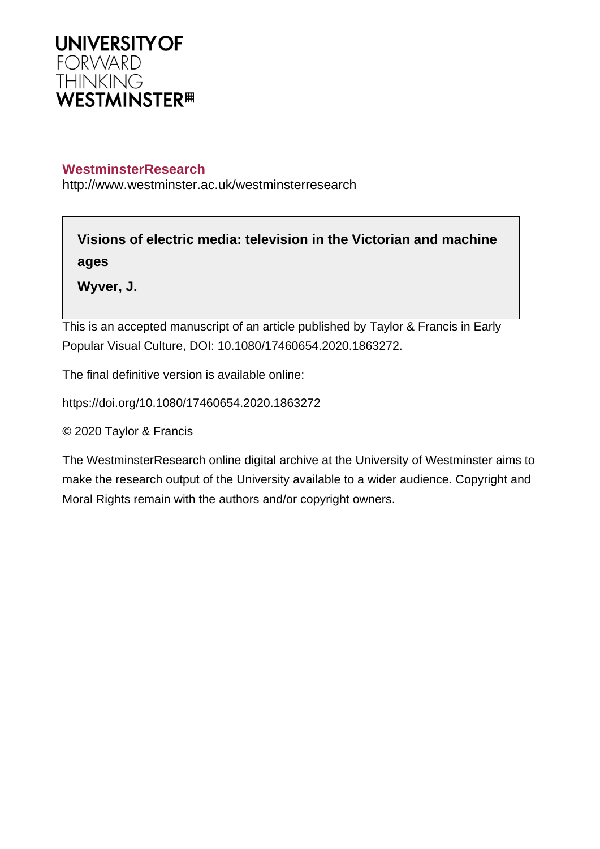

## **WestminsterResearch**

http://www.westminster.ac.uk/westminsterresearch

**Visions of electric media: television in the Victorian and machine ages**

**Wyver, J.**

This is an accepted manuscript of an article published by Taylor & Francis in Early Popular Visual Culture, DOI: 10.1080/17460654.2020.1863272.

The final definitive version is available online:

<https://doi.org/10.1080/17460654.2020.1863272>

© 2020 Taylor & Francis

The WestminsterResearch online digital archive at the University of Westminster aims to make the research output of the University available to a wider audience. Copyright and Moral Rights remain with the authors and/or copyright owners.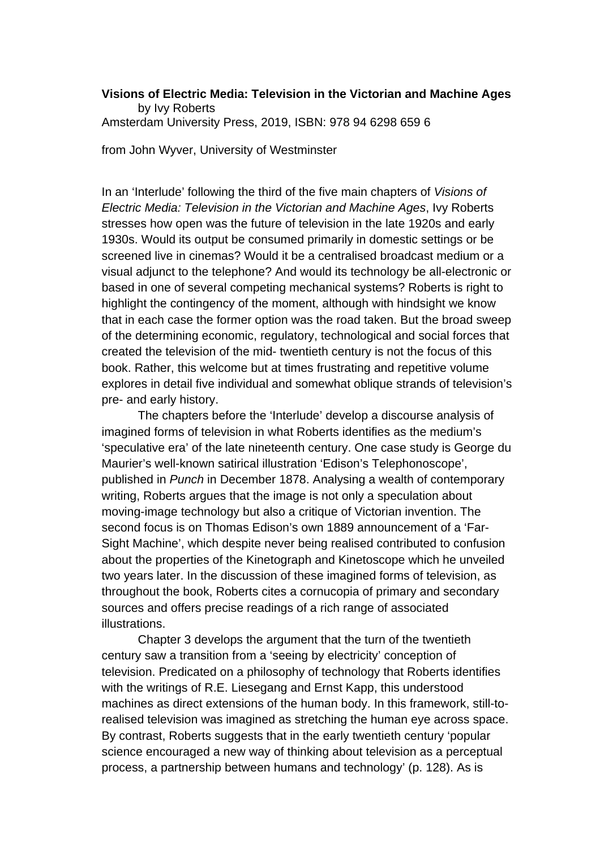## **Visions of Electric Media: Television in the Victorian and Machine Ages** by Ivy Roberts Amsterdam University Press, 2019, ISBN: 978 94 6298 659 6

from John Wyver, University of Westminster

In an 'Interlude' following the third of the five main chapters of *Visions of Electric Media: Television in the Victorian and Machine Ages*, Ivy Roberts stresses how open was the future of television in the late 1920s and early 1930s. Would its output be consumed primarily in domestic settings or be screened live in cinemas? Would it be a centralised broadcast medium or a visual adjunct to the telephone? And would its technology be all-electronic or based in one of several competing mechanical systems? Roberts is right to highlight the contingency of the moment, although with hindsight we know that in each case the former option was the road taken. But the broad sweep of the determining economic, regulatory, technological and social forces that created the television of the mid- twentieth century is not the focus of this book. Rather, this welcome but at times frustrating and repetitive volume explores in detail five individual and somewhat oblique strands of television's pre- and early history.

The chapters before the 'Interlude' develop a discourse analysis of imagined forms of television in what Roberts identifies as the medium's 'speculative era' of the late nineteenth century. One case study is George du Maurier's well-known satirical illustration 'Edison's Telephonoscope', published in *Punch* in December 1878. Analysing a wealth of contemporary writing, Roberts argues that the image is not only a speculation about moving-image technology but also a critique of Victorian invention. The second focus is on Thomas Edison's own 1889 announcement of a 'Far-Sight Machine', which despite never being realised contributed to confusion about the properties of the Kinetograph and Kinetoscope which he unveiled two years later. In the discussion of these imagined forms of television, as throughout the book, Roberts cites a cornucopia of primary and secondary sources and offers precise readings of a rich range of associated illustrations.

Chapter 3 develops the argument that the turn of the twentieth century saw a transition from a 'seeing by electricity' conception of television. Predicated on a philosophy of technology that Roberts identifies with the writings of R.E. Liesegang and Ernst Kapp, this understood machines as direct extensions of the human body. In this framework, still-torealised television was imagined as stretching the human eye across space. By contrast, Roberts suggests that in the early twentieth century 'popular science encouraged a new way of thinking about television as a perceptual process, a partnership between humans and technology' (p. 128). As is